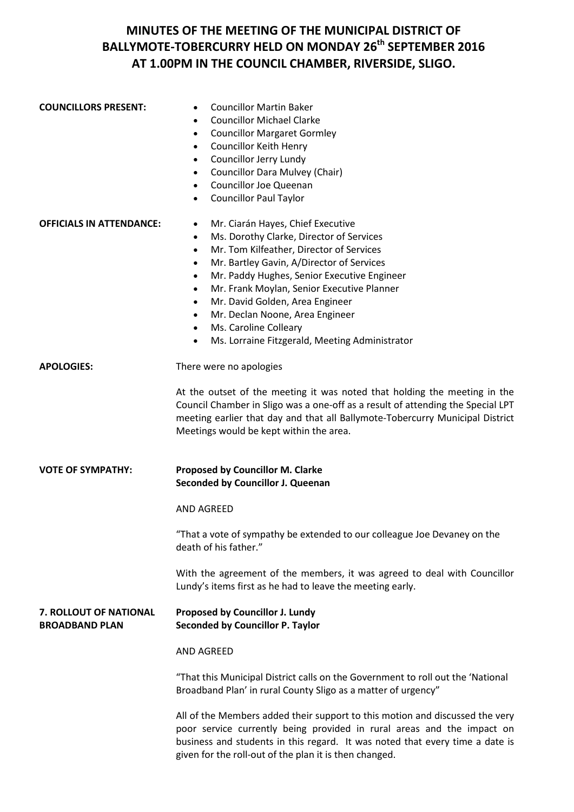**COUNCILLORS PRESENT:** • Councillor Martin Baker

|                                                 | <b>Councillor Michael Clarke</b><br>$\bullet$<br><b>Councillor Margaret Gormley</b><br>$\bullet$<br>Councillor Keith Henry<br>$\bullet$<br>Councillor Jerry Lundy<br>٠<br><b>Councillor Dara Mulvey (Chair)</b><br>$\bullet$<br><b>Councillor Joe Queenan</b><br>$\bullet$<br><b>Councillor Paul Taylor</b><br>٠                                                                                                                                                                                                                                        |
|-------------------------------------------------|---------------------------------------------------------------------------------------------------------------------------------------------------------------------------------------------------------------------------------------------------------------------------------------------------------------------------------------------------------------------------------------------------------------------------------------------------------------------------------------------------------------------------------------------------------|
| <b>OFFICIALS IN ATTENDANCE:</b>                 | Mr. Ciarán Hayes, Chief Executive<br>$\bullet$<br>Ms. Dorothy Clarke, Director of Services<br>$\bullet$<br>Mr. Tom Kilfeather, Director of Services<br>٠<br>Mr. Bartley Gavin, A/Director of Services<br>٠<br>Mr. Paddy Hughes, Senior Executive Engineer<br>٠<br>Mr. Frank Moylan, Senior Executive Planner<br>٠<br>Mr. David Golden, Area Engineer<br>$\bullet$<br>Mr. Declan Noone, Area Engineer<br>٠<br>Ms. Caroline Colleary<br>$\bullet$<br>Ms. Lorraine Fitzgerald, Meeting Administrator<br>$\bullet$                                          |
| <b>APOLOGIES:</b>                               | There were no apologies<br>At the outset of the meeting it was noted that holding the meeting in the<br>Council Chamber in Sligo was a one-off as a result of attending the Special LPT<br>meeting earlier that day and that all Ballymote-Tobercurry Municipal District<br>Meetings would be kept within the area.                                                                                                                                                                                                                                     |
| <b>VOTE OF SYMPATHY:</b>                        | Proposed by Councillor M. Clarke<br>Seconded by Councillor J. Queenan<br><b>AND AGREED</b><br>"That a vote of sympathy be extended to our colleague Joe Devaney on the<br>death of his father."<br>With the agreement of the members, it was agreed to deal with Councillor<br>Lundy's items first as he had to leave the meeting early.                                                                                                                                                                                                                |
| 7. ROLLOUT OF NATIONAL<br><b>BROADBAND PLAN</b> | Proposed by Councillor J. Lundy<br><b>Seconded by Councillor P. Taylor</b><br><b>AND AGREED</b><br>"That this Municipal District calls on the Government to roll out the 'National<br>Broadband Plan' in rural County Sligo as a matter of urgency"<br>All of the Members added their support to this motion and discussed the very<br>poor service currently being provided in rural areas and the impact on<br>business and students in this regard. It was noted that every time a date is<br>given for the roll-out of the plan it is then changed. |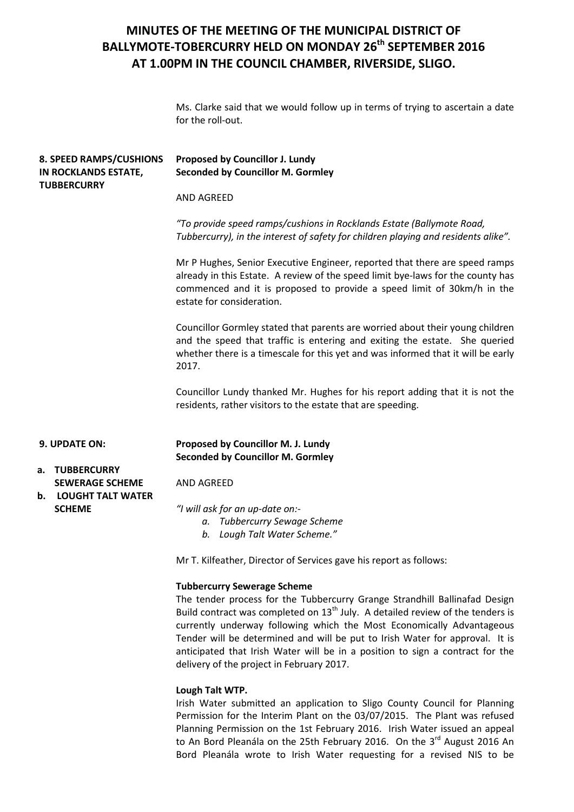Ms. Clarke said that we would follow up in terms of trying to ascertain a date for the roll-out.

|    | <b>8. SPEED RAMPS/CUSHIONS</b><br>IN ROCKLANDS ESTATE,<br><b>TUBBERCURRY</b>                                                                | Proposed by Councillor J. Lundy<br><b>Seconded by Councillor M. Gormley</b>                                                                                                                                                                                                                                                                                                                                                                    |
|----|---------------------------------------------------------------------------------------------------------------------------------------------|------------------------------------------------------------------------------------------------------------------------------------------------------------------------------------------------------------------------------------------------------------------------------------------------------------------------------------------------------------------------------------------------------------------------------------------------|
|    |                                                                                                                                             | AND AGREED                                                                                                                                                                                                                                                                                                                                                                                                                                     |
|    |                                                                                                                                             | "To provide speed ramps/cushions in Rocklands Estate (Ballymote Road,<br>Tubbercurry), in the interest of safety for children playing and residents alike".                                                                                                                                                                                                                                                                                    |
|    |                                                                                                                                             | Mr P Hughes, Senior Executive Engineer, reported that there are speed ramps<br>already in this Estate. A review of the speed limit bye-laws for the county has<br>commenced and it is proposed to provide a speed limit of 30km/h in the<br>estate for consideration.                                                                                                                                                                          |
|    |                                                                                                                                             | Councillor Gormley stated that parents are worried about their young children<br>and the speed that traffic is entering and exiting the estate. She queried<br>whether there is a timescale for this yet and was informed that it will be early<br>2017.                                                                                                                                                                                       |
|    | Councillor Lundy thanked Mr. Hughes for his report adding that it is not the<br>residents, rather visitors to the estate that are speeding. |                                                                                                                                                                                                                                                                                                                                                                                                                                                |
|    | 9. UPDATE ON:                                                                                                                               | Proposed by Councillor M. J. Lundy<br><b>Seconded by Councillor M. Gormley</b>                                                                                                                                                                                                                                                                                                                                                                 |
|    | a. TUBBERCURRY<br><b>SEWERAGE SCHEME</b>                                                                                                    | <b>AND AGREED</b>                                                                                                                                                                                                                                                                                                                                                                                                                              |
| b. | <b>LOUGHT TALT WATER</b><br><b>SCHEME</b>                                                                                                   | "I will ask for an up-date on:-<br>a. Tubbercurry Sewage Scheme<br>b. Lough Talt Water Scheme."                                                                                                                                                                                                                                                                                                                                                |
|    |                                                                                                                                             | Mr T. Kilfeather, Director of Services gave his report as follows:                                                                                                                                                                                                                                                                                                                                                                             |
|    |                                                                                                                                             | <b>Tubbercurry Sewerage Scheme</b><br>The tender process for the Tubbercurry Grange Strandhill Ballinafad Design<br>Build contract was completed on $13th$ July. A detailed review of the tenders is<br>currently underway following which the Most Economically Advantageous<br>Tender will be determined and will be put to Irish Water for approval. It is<br>anticipated that Irish Water will be in a position to sign a contract for the |

#### **Lough Talt WTP.**

delivery of the project in February 2017.

Irish Water submitted an application to Sligo County Council for Planning Permission for the Interim Plant on the 03/07/2015. The Plant was refused Planning Permission on the 1st February 2016. Irish Water issued an appeal to An Bord Pleanála on the 25th February 2016. On the 3<sup>rd</sup> August 2016 An Bord Pleanála wrote to Irish Water requesting for a revised NIS to be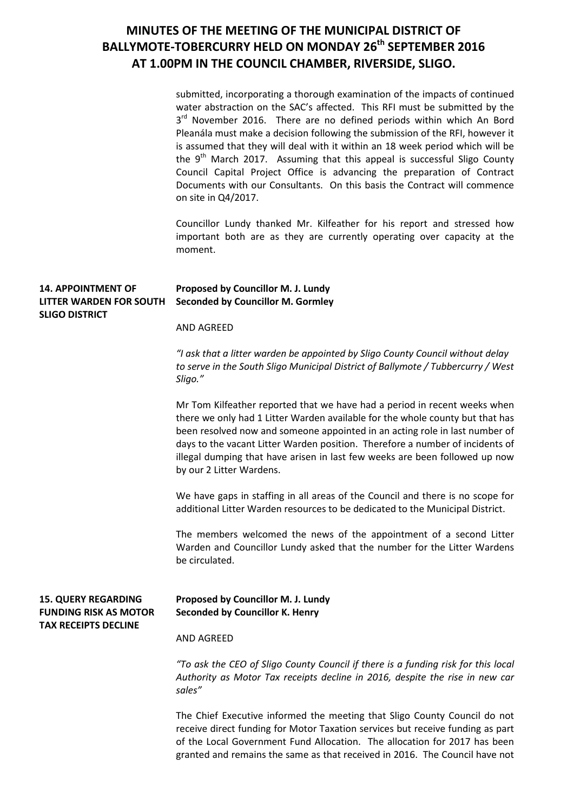submitted, incorporating a thorough examination of the impacts of continued water abstraction on the SAC's affected. This RFI must be submitted by the  $3<sup>rd</sup>$  November 2016. There are no defined periods within which An Bord Pleanála must make a decision following the submission of the RFI, however it is assumed that they will deal with it within an 18 week period which will be the  $9<sup>th</sup>$  March 2017. Assuming that this appeal is successful Sligo County Council Capital Project Office is advancing the preparation of Contract Documents with our Consultants. On this basis the Contract will commence on site in Q4/2017.

Councillor Lundy thanked Mr. Kilfeather for his report and stressed how important both are as they are currently operating over capacity at the moment.

### **14. APPOINTMENT OF LITTER WARDEN FOR SOUTH SLIGO DISTRICT Proposed by Councillor M. J. Lundy Seconded by Councillor M. Gormley** AND AGREED *"I ask that a litter warden be appointed by Sligo County Council without delay to serve in the South Sligo Municipal District of Ballymote / Tubbercurry / West Sligo."* Mr Tom Kilfeather reported that we have had a period in recent weeks when there we only had 1 Litter Warden available for the whole county but that has been resolved now and someone appointed in an acting role in last number of days to the vacant Litter Warden position. Therefore a number of incidents of illegal dumping that have arisen in last few weeks are been followed up now by our 2 Litter Wardens. We have gaps in staffing in all areas of the Council and there is no scope for additional Litter Warden resources to be dedicated to the Municipal District. The members welcomed the news of the appointment of a second Litter Warden and Councillor Lundy asked that the number for the Litter Wardens be circulated. **15. QUERY REGARDING FUNDING RISK AS MOTOR TAX RECEIPTS DECLINE Proposed by Councillor M. J. Lundy Seconded by Councillor K. Henry** AND AGREED *"To ask the CEO of Sligo County Council if there is a funding risk for this local Authority as Motor Tax receipts decline in 2016, despite the rise in new car sales"* The Chief Executive informed the meeting that Sligo County Council do not

receive direct funding for Motor Taxation services but receive funding as part of the Local Government Fund Allocation. The allocation for 2017 has been granted and remains the same as that received in 2016. The Council have not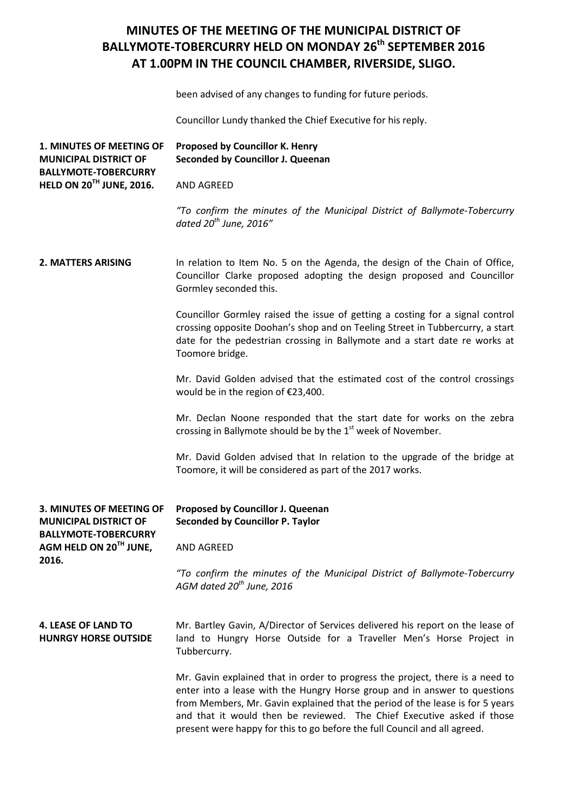been advised of any changes to funding for future periods.

Councillor Lundy thanked the Chief Executive for his reply.

| 1. MINUTES OF MEETING OF<br><b>MUNICIPAL DISTRICT OF</b><br><b>BALLYMOTE-TOBERCURRY</b> | Proposed by Councillor K. Henry<br>Seconded by Councillor J. Queenan                                                                                                                                                                                                                                                  |
|-----------------------------------------------------------------------------------------|-----------------------------------------------------------------------------------------------------------------------------------------------------------------------------------------------------------------------------------------------------------------------------------------------------------------------|
| HELD ON 20 <sup>TH</sup> JUNE, 2016.                                                    | <b>AND AGREED</b>                                                                                                                                                                                                                                                                                                     |
|                                                                                         | "To confirm the minutes of the Municipal District of Ballymote-Tobercurry<br>dated $20^{th}$ June, 2016"                                                                                                                                                                                                              |
| 2. MATTERS ARISING                                                                      | In relation to Item No. 5 on the Agenda, the design of the Chain of Office,<br>Councillor Clarke proposed adopting the design proposed and Councillor<br>Gormley seconded this.                                                                                                                                       |
|                                                                                         | Councillor Gormley raised the issue of getting a costing for a signal control<br>crossing opposite Doohan's shop and on Teeling Street in Tubbercurry, a start<br>date for the pedestrian crossing in Ballymote and a start date re works at<br>Toomore bridge.                                                       |
|                                                                                         | Mr. David Golden advised that the estimated cost of the control crossings<br>would be in the region of €23,400.                                                                                                                                                                                                       |
|                                                                                         | Mr. Declan Noone responded that the start date for works on the zebra<br>crossing in Ballymote should be by the 1 <sup>st</sup> week of November.                                                                                                                                                                     |
|                                                                                         | Mr. David Golden advised that In relation to the upgrade of the bridge at<br>Toomore, it will be considered as part of the 2017 works.                                                                                                                                                                                |
| 3. MINUTES OF MEETING OF<br><b>MUNICIPAL DISTRICT OF</b><br><b>BALLYMOTE-TOBERCURRY</b> | Proposed by Councillor J. Queenan<br><b>Seconded by Councillor P. Taylor</b>                                                                                                                                                                                                                                          |
| AGM HELD ON 20 <sup>th</sup> JUNE,<br>2016.                                             | AND AGREED                                                                                                                                                                                                                                                                                                            |
|                                                                                         | "To confirm the minutes of the Municipal District of Ballymote-Tobercurry<br>AGM dated 20 <sup>th</sup> June, 2016                                                                                                                                                                                                    |
| <b>4. LEASE OF LAND TO</b><br><b>HUNRGY HORSE OUTSIDE</b>                               | Mr. Bartley Gavin, A/Director of Services delivered his report on the lease of<br>land to Hungry Horse Outside for a Traveller Men's Horse Project in<br>Tubbercurry.                                                                                                                                                 |
|                                                                                         | Mr. Gavin explained that in order to progress the project, there is a need to<br>enter into a lease with the Hungry Horse group and in answer to questions<br>from Members, Mr. Gavin explained that the period of the lease is for 5 years<br>and that it would then be reviewed. The Chief Executive asked if those |

present were happy for this to go before the full Council and all agreed.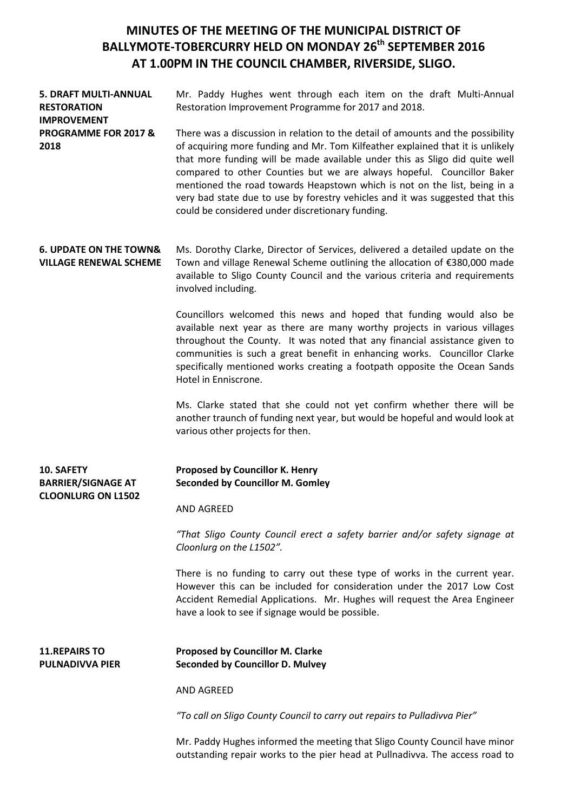**5. DRAFT MULTI-ANNUAL RESTORATION IMPROVEMENT PROGRAMME FOR 2017 & 2018** Mr. Paddy Hughes went through each item on the draft Multi-Annual Restoration Improvement Programme for 2017 and 2018. There was a discussion in relation to the detail of amounts and the possibility of acquiring more funding and Mr. Tom Kilfeather explained that it is unlikely that more funding will be made available under this as Sligo did quite well

compared to other Counties but we are always hopeful. Councillor Baker mentioned the road towards Heapstown which is not on the list, being in a very bad state due to use by forestry vehicles and it was suggested that this could be considered under discretionary funding.

**6. UPDATE ON THE TOWN& VILLAGE RENEWAL SCHEME** Ms. Dorothy Clarke, Director of Services, delivered a detailed update on the Town and village Renewal Scheme outlining the allocation of €380,000 made available to Sligo County Council and the various criteria and requirements involved including.

> Councillors welcomed this news and hoped that funding would also be available next year as there are many worthy projects in various villages throughout the County. It was noted that any financial assistance given to communities is such a great benefit in enhancing works. Councillor Clarke specifically mentioned works creating a footpath opposite the Ocean Sands Hotel in Enniscrone.

> Ms. Clarke stated that she could not yet confirm whether there will be another traunch of funding next year, but would be hopeful and would look at various other projects for then.

| <b>10. SAFETY</b>         | <b>Proposed by Councillor K. Henry</b>  |
|---------------------------|-----------------------------------------|
| <b>BARRIER/SIGNAGE AT</b> | <b>Seconded by Councillor M. Gomley</b> |
| <b>CLOONLURG ON L1502</b> |                                         |

AND AGREED

*"That Sligo County Council erect a safety barrier and/or safety signage at Cloonlurg on the L1502".*

There is no funding to carry out these type of works in the current year. However this can be included for consideration under the 2017 Low Cost Accident Remedial Applications. Mr. Hughes will request the Area Engineer have a look to see if signage would be possible.

#### **11.REPAIRS TO PULNADIVVA PIER**

**Proposed by Councillor M. Clarke Seconded by Councillor D. Mulvey**

AND AGREED

*"To call on Sligo County Council to carry out repairs to Pulladivva Pier"*

Mr. Paddy Hughes informed the meeting that Sligo County Council have minor outstanding repair works to the pier head at Pullnadivva. The access road to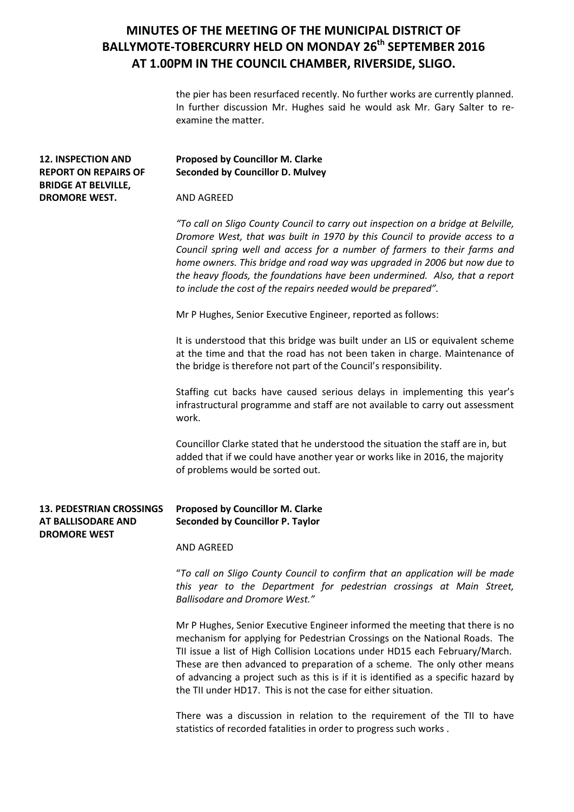the pier has been resurfaced recently. No further works are currently planned. In further discussion Mr. Hughes said he would ask Mr. Gary Salter to reexamine the matter.

| <b>12. INSPECTION AND</b><br><b>REPORT ON REPAIRS OF</b><br><b>BRIDGE AT BELVILLE,</b><br><b>DROMORE WEST.</b> | Proposed by Councillor M. Clarke<br><b>Seconded by Councillor D. Mulvey</b>                                                                                                                                                                                                                                                                                                                                                                                                    |
|----------------------------------------------------------------------------------------------------------------|--------------------------------------------------------------------------------------------------------------------------------------------------------------------------------------------------------------------------------------------------------------------------------------------------------------------------------------------------------------------------------------------------------------------------------------------------------------------------------|
|                                                                                                                | <b>AND AGREED</b>                                                                                                                                                                                                                                                                                                                                                                                                                                                              |
|                                                                                                                | "To call on Sligo County Council to carry out inspection on a bridge at Belville,<br>Dromore West, that was built in 1970 by this Council to provide access to a<br>Council spring well and access for a number of farmers to their farms and<br>home owners. This bridge and road way was upgraded in 2006 but now due to<br>the heavy floods, the foundations have been undermined. Also, that a report<br>to include the cost of the repairs needed would be prepared".     |
|                                                                                                                | Mr P Hughes, Senior Executive Engineer, reported as follows:                                                                                                                                                                                                                                                                                                                                                                                                                   |
|                                                                                                                | It is understood that this bridge was built under an LIS or equivalent scheme<br>at the time and that the road has not been taken in charge. Maintenance of<br>the bridge is therefore not part of the Council's responsibility.                                                                                                                                                                                                                                               |
|                                                                                                                | Staffing cut backs have caused serious delays in implementing this year's<br>infrastructural programme and staff are not available to carry out assessment<br>work.                                                                                                                                                                                                                                                                                                            |
|                                                                                                                | Councillor Clarke stated that he understood the situation the staff are in, but<br>added that if we could have another year or works like in 2016, the majority<br>of problems would be sorted out.                                                                                                                                                                                                                                                                            |
| <b>13. PEDESTRIAN CROSSINGS</b><br>AT BALLISODARE AND<br><b>DROMORE WEST</b>                                   | Proposed by Councillor M. Clarke<br><b>Seconded by Councillor P. Taylor</b>                                                                                                                                                                                                                                                                                                                                                                                                    |
|                                                                                                                | AND AGREED                                                                                                                                                                                                                                                                                                                                                                                                                                                                     |
|                                                                                                                | "To call on Sligo County Council to confirm that an application will be made<br>this year to the Department for pedestrian crossings at Main Street,<br><b>Ballisodare and Dromore West."</b>                                                                                                                                                                                                                                                                                  |
|                                                                                                                | Mr P Hughes, Senior Executive Engineer informed the meeting that there is no<br>mechanism for applying for Pedestrian Crossings on the National Roads. The<br>TII issue a list of High Collision Locations under HD15 each February/March.<br>These are then advanced to preparation of a scheme. The only other means<br>of advancing a project such as this is if it is identified as a specific hazard by<br>the TII under HD17. This is not the case for either situation. |
|                                                                                                                | There was a discussion in relation to the requirement of the TII to have<br>statistics of recorded fatalities in order to progress such works.                                                                                                                                                                                                                                                                                                                                 |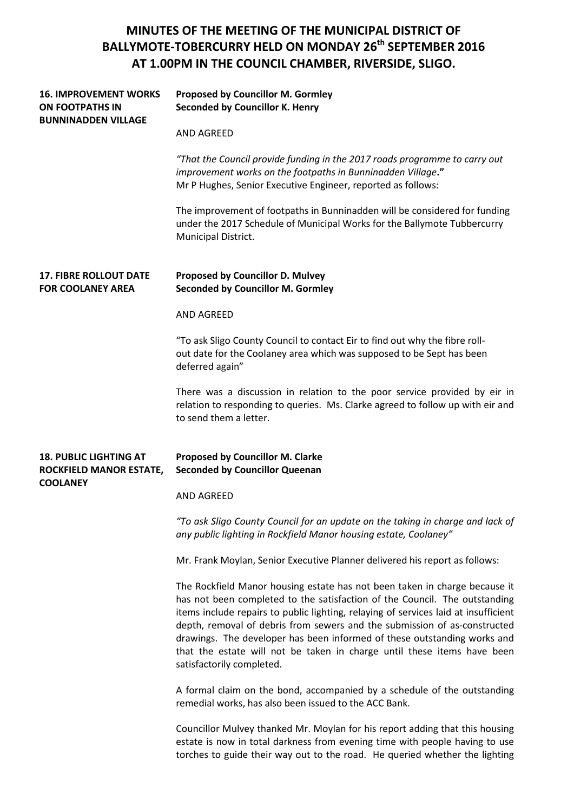| <b>16. IMPROVEMENT WORKS</b><br><b>ON FOOTPATHS IN</b><br><b>BUNNINADDEN VILLAGE</b> | <b>Proposed by Councillor M. Gormley</b><br><b>Seconded by Councillor K. Henry</b>                                                                                                                                                                                                                                                                                                                                                                                                                               |
|--------------------------------------------------------------------------------------|------------------------------------------------------------------------------------------------------------------------------------------------------------------------------------------------------------------------------------------------------------------------------------------------------------------------------------------------------------------------------------------------------------------------------------------------------------------------------------------------------------------|
|                                                                                      | <b>AND AGREED</b>                                                                                                                                                                                                                                                                                                                                                                                                                                                                                                |
|                                                                                      | "That the Council provide funding in the 2017 roads programme to carry out<br>improvement works on the footpaths in Bunninadden Village."<br>Mr P Hughes, Senior Executive Engineer, reported as follows:                                                                                                                                                                                                                                                                                                        |
|                                                                                      | The improvement of footpaths in Bunninadden will be considered for funding<br>under the 2017 Schedule of Municipal Works for the Ballymote Tubbercurry<br>Municipal District.                                                                                                                                                                                                                                                                                                                                    |
| <b>17. FIBRE ROLLOUT DATE</b><br><b>FOR COOLANEY AREA</b>                            | <b>Proposed by Councillor D. Mulvey</b><br><b>Seconded by Councillor M. Gormley</b>                                                                                                                                                                                                                                                                                                                                                                                                                              |
|                                                                                      | <b>AND AGREED</b>                                                                                                                                                                                                                                                                                                                                                                                                                                                                                                |
|                                                                                      | "To ask Sligo County Council to contact Eir to find out why the fibre roll-<br>out date for the Coolaney area which was supposed to be Sept has been<br>deferred again"                                                                                                                                                                                                                                                                                                                                          |
|                                                                                      | There was a discussion in relation to the poor service provided by eir in<br>relation to responding to queries. Ms. Clarke agreed to follow up with eir and<br>to send them a letter.                                                                                                                                                                                                                                                                                                                            |
| <b>18. PUBLIC LIGHTING AT</b><br>ROCKFIELD MANOR ESTATE,<br><b>COOLANEY</b>          | <b>Proposed by Councillor M. Clarke</b><br><b>Seconded by Councillor Queenan</b>                                                                                                                                                                                                                                                                                                                                                                                                                                 |
|                                                                                      | <b>AND AGREED</b>                                                                                                                                                                                                                                                                                                                                                                                                                                                                                                |
|                                                                                      | "To ask Sligo County Council for an update on the taking in charge and lack of<br>any public lighting in Rockfield Manor housing estate, Coolaney"                                                                                                                                                                                                                                                                                                                                                               |
|                                                                                      | Mr. Frank Moylan, Senior Executive Planner delivered his report as follows:                                                                                                                                                                                                                                                                                                                                                                                                                                      |
|                                                                                      | The Rockfield Manor housing estate has not been taken in charge because it<br>has not been completed to the satisfaction of the Council. The outstanding<br>items include repairs to public lighting, relaying of services laid at insufficient<br>depth, removal of debris from sewers and the submission of as-constructed<br>drawings. The developer has been informed of these outstanding works and<br>that the estate will not be taken in charge until these items have been<br>satisfactorily completed. |
|                                                                                      | A formal claim on the bond, accompanied by a schedule of the outstanding<br>remedial works, has also been issued to the ACC Bank.                                                                                                                                                                                                                                                                                                                                                                                |
|                                                                                      | Councillor Mulvey thanked Mr. Moylan for his report adding that this housing<br>estate is now in total darkness from evening time with people having to use<br>torches to guide their way out to the road. He queried whether the lighting                                                                                                                                                                                                                                                                       |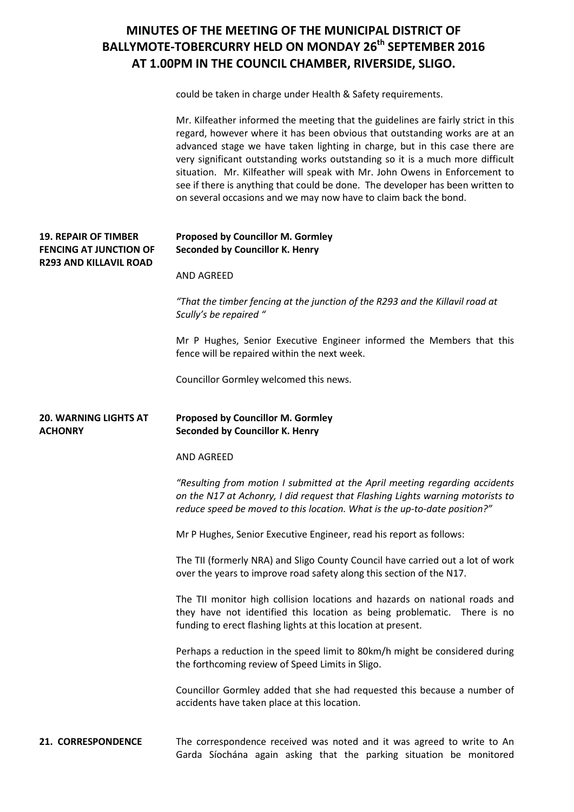could be taken in charge under Health & Safety requirements.

|                                                              | Mr. Kilfeather informed the meeting that the guidelines are fairly strict in this<br>regard, however where it has been obvious that outstanding works are at an<br>advanced stage we have taken lighting in charge, but in this case there are<br>very significant outstanding works outstanding so it is a much more difficult<br>situation. Mr. Kilfeather will speak with Mr. John Owens in Enforcement to<br>see if there is anything that could be done. The developer has been written to<br>on several occasions and we may now have to claim back the bond. |
|--------------------------------------------------------------|---------------------------------------------------------------------------------------------------------------------------------------------------------------------------------------------------------------------------------------------------------------------------------------------------------------------------------------------------------------------------------------------------------------------------------------------------------------------------------------------------------------------------------------------------------------------|
| <b>19. REPAIR OF TIMBER</b><br><b>FENCING AT JUNCTION OF</b> | <b>Proposed by Councillor M. Gormley</b><br>Seconded by Councillor K. Henry                                                                                                                                                                                                                                                                                                                                                                                                                                                                                         |
| <b>R293 AND KILLAVIL ROAD</b>                                | AND AGREED                                                                                                                                                                                                                                                                                                                                                                                                                                                                                                                                                          |
|                                                              | "That the timber fencing at the junction of the R293 and the Killavil road at<br>Scully's be repaired "                                                                                                                                                                                                                                                                                                                                                                                                                                                             |
|                                                              | Mr P Hughes, Senior Executive Engineer informed the Members that this<br>fence will be repaired within the next week.                                                                                                                                                                                                                                                                                                                                                                                                                                               |
|                                                              | Councillor Gormley welcomed this news.                                                                                                                                                                                                                                                                                                                                                                                                                                                                                                                              |
| <b>20. WARNING LIGHTS AT</b><br><b>ACHONRY</b>               | <b>Proposed by Councillor M. Gormley</b><br>Seconded by Councillor K. Henry                                                                                                                                                                                                                                                                                                                                                                                                                                                                                         |
|                                                              | AND AGREED                                                                                                                                                                                                                                                                                                                                                                                                                                                                                                                                                          |
|                                                              | "Resulting from motion I submitted at the April meeting regarding accidents<br>on the N17 at Achonry, I did request that Flashing Lights warning motorists to<br>reduce speed be moved to this location. What is the up-to-date position?"                                                                                                                                                                                                                                                                                                                          |
|                                                              | Mr P Hughes, Senior Executive Engineer, read his report as follows:                                                                                                                                                                                                                                                                                                                                                                                                                                                                                                 |
|                                                              | The TII (formerly NRA) and Sligo County Council have carried out a lot of work<br>over the years to improve road safety along this section of the N17.                                                                                                                                                                                                                                                                                                                                                                                                              |
|                                                              | The TII monitor high collision locations and hazards on national roads and<br>they have not identified this location as being problematic. There is no<br>funding to erect flashing lights at this location at present.                                                                                                                                                                                                                                                                                                                                             |
|                                                              | Perhaps a reduction in the speed limit to 80km/h might be considered during                                                                                                                                                                                                                                                                                                                                                                                                                                                                                         |
|                                                              | the forthcoming review of Speed Limits in Sligo.                                                                                                                                                                                                                                                                                                                                                                                                                                                                                                                    |
|                                                              | Councillor Gormley added that she had requested this because a number of<br>accidents have taken place at this location.                                                                                                                                                                                                                                                                                                                                                                                                                                            |